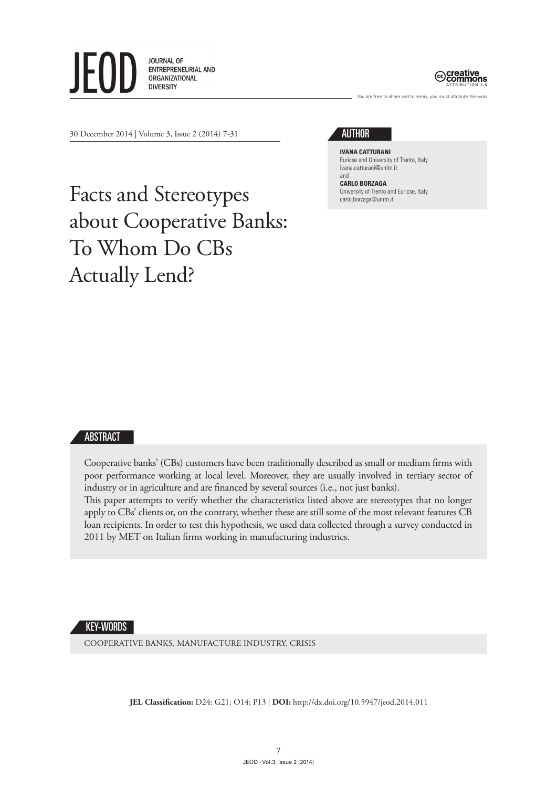



are free to share and to remix, you must attribute the work

30 December 2014 | Volume 3, Issue 2 (2014) 7-31

## **AUTHOR**

**Ivana Catturani** Euricse and University of Trento, Italy ivana.catturani@unitn.it and

**Carlo Borzaga** University of Trento and Euricse, Italy carlo.borzaga@unitn.it

# Facts and Stereotypes about Cooperative Banks: To Whom Do CBs Actually Lend?

#### ABSTRACT

Cooperative banks' (CBs) customers have been traditionally described as small or medium firms with poor performance working at local level. Moreover, they are usually involved in tertiary sector of industry or in agriculture and are financed by several sources (i.e., not just banks).

This paper attempts to verify whether the characteristics listed above are stereotypes that no longer apply to CBs' clients or, on the contrary, whether these are still some of the most relevant features CB loan recipients. In order to test this hypothesis, we used data collected through a survey conducted in 2011 by MET on Italian firms working in manufacturing industries.

#### KEY-WORDS

COOPERATIVE BANKS, MANUFACTURE INDUSTRY, CRISIS

**JEL Classification:** D24; G21; O14; P13 | **DOI:** http://dx.doi.org/10.5947/jeod.2014.011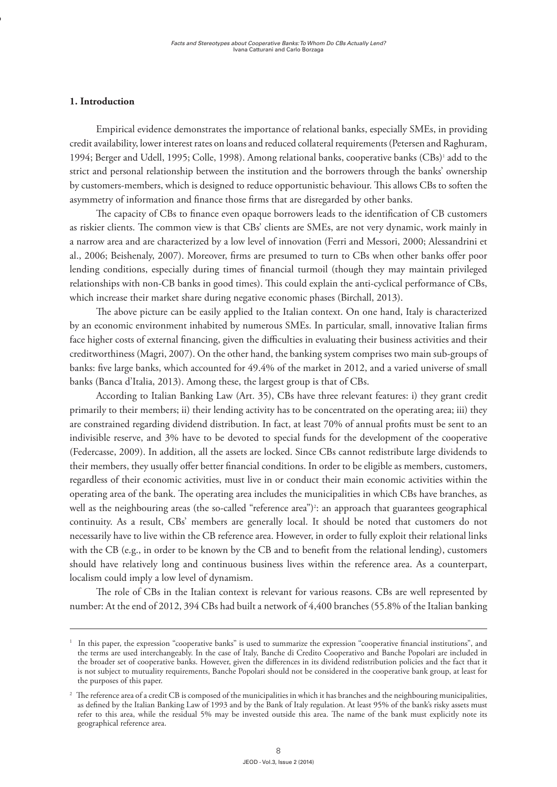#### **1. Introduction**

**1. Titoletto**

Empirical evidence demonstrates the importance of relational banks, especially SMEs, in providing credit availability, lower interest rates on loans and reduced collateral requirements (Petersen and Raghuram, 1994; Berger and Udell, 1995; Colle, 1998). Among relational banks, cooperative banks (CBs)<sup>1</sup> add to the strict and personal relationship between the institution and the borrowers through the banks' ownership by customers-members, which is designed to reduce opportunistic behaviour. This allows CBs to soften the asymmetry of information and finance those firms that are disregarded by other banks.

The capacity of CBs to finance even opaque borrowers leads to the identification of CB customers as riskier clients. The common view is that CBs' clients are SMEs, are not very dynamic, work mainly in a narrow area and are characterized by a low level of innovation (Ferri and Messori, 2000; Alessandrini et al., 2006; Beishenaly, 2007). Moreover, firms are presumed to turn to CBs when other banks offer poor lending conditions, especially during times of financial turmoil (though they may maintain privileged relationships with non-CB banks in good times). This could explain the anti-cyclical performance of CBs, which increase their market share during negative economic phases (Birchall, 2013).

The above picture can be easily applied to the Italian context. On one hand, Italy is characterized by an economic environment inhabited by numerous SMEs. In particular, small, innovative Italian firms face higher costs of external financing, given the difficulties in evaluating their business activities and their creditworthiness (Magri, 2007). On the other hand, the banking system comprises two main sub-groups of banks: five large banks, which accounted for 49.4% of the market in 2012, and a varied universe of small banks (Banca d'Italia, 2013). Among these, the largest group is that of CBs.

According to Italian Banking Law (Art. 35), CBs have three relevant features: i) they grant credit primarily to their members; ii) their lending activity has to be concentrated on the operating area; iii) they are constrained regarding dividend distribution. In fact, at least 70% of annual profits must be sent to an indivisible reserve, and 3% have to be devoted to special funds for the development of the cooperative (Federcasse, 2009). In addition, all the assets are locked. Since CBs cannot redistribute large dividends to their members, they usually offer better financial conditions. In order to be eligible as members, customers, regardless of their economic activities, must live in or conduct their main economic activities within the operating area of the bank. The operating area includes the municipalities in which CBs have branches, as well as the neighbouring areas (the so-called "reference area")<sup>2</sup>: an approach that guarantees geographical continuity. As a result, CBs' members are generally local. It should be noted that customers do not necessarily have to live within the CB reference area. However, in order to fully exploit their relational links with the CB (e.g., in order to be known by the CB and to benefit from the relational lending), customers should have relatively long and continuous business lives within the reference area. As a counterpart, localism could imply a low level of dynamism.

The role of CBs in the Italian context is relevant for various reasons. CBs are well represented by number: At the end of 2012, 394 CBs had built a network of 4,400 branches (55.8% of the Italian banking

<sup>1</sup> In this paper, the expression "cooperative banks" is used to summarize the expression "cooperative financial institutions", and the terms are used interchangeably. In the case of Italy, Banche di Credito Cooperativo and Banche Popolari are included in the broader set of cooperative banks. However, given the differences in its dividend redistribution policies and the fact that it is not subject to mutuality requirements, Banche Popolari should not be considered in the cooperative bank group, at least for the purposes of this paper.

<sup>&</sup>lt;sup>2</sup> The reference area of a credit CB is composed of the municipalities in which it has branches and the neighbouring municipalities, as defined by the Italian Banking Law of 1993 and by the Bank of Italy regulation. At least 95% of the bank's risky assets must refer to this area, while the residual 5% may be invested outside this area. The name of the bank must explicitly note its geographical reference area.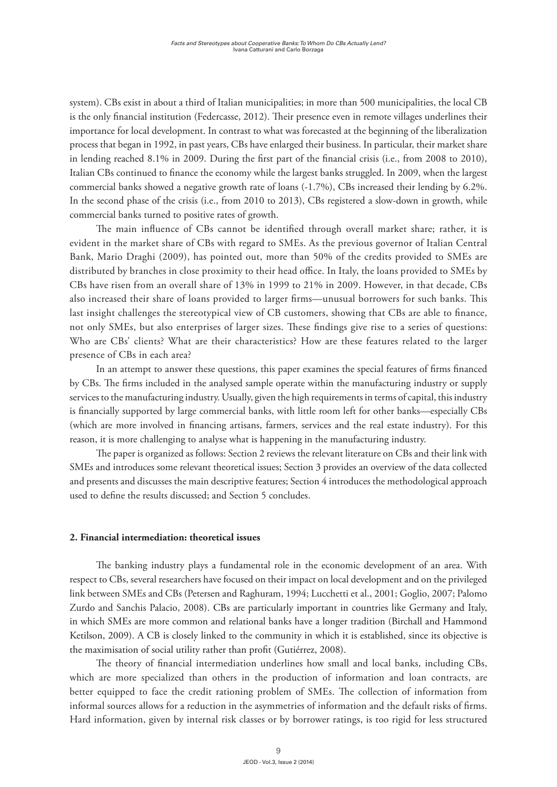system). CBs exist in about a third of Italian municipalities; in more than 500 municipalities, the local CB is the only financial institution (Federcasse, 2012). Their presence even in remote villages underlines their importance for local development. In contrast to what was forecasted at the beginning of the liberalization process that began in 1992, in past years, CBs have enlarged their business. In particular, their market share in lending reached 8.1% in 2009. During the first part of the financial crisis (i.e., from 2008 to 2010), Italian CBs continued to finance the economy while the largest banks struggled. In 2009, when the largest commercial banks showed a negative growth rate of loans (-1.7%), CBs increased their lending by 6.2%. In the second phase of the crisis (i.e., from 2010 to 2013), CBs registered a slow-down in growth, while commercial banks turned to positive rates of growth.

The main influence of CBs cannot be identified through overall market share; rather, it is evident in the market share of CBs with regard to SMEs. As the previous governor of Italian Central Bank, Mario Draghi (2009), has pointed out, more than 50% of the credits provided to SMEs are distributed by branches in close proximity to their head office. In Italy, the loans provided to SMEs by CBs have risen from an overall share of 13% in 1999 to 21% in 2009. However, in that decade, CBs also increased their share of loans provided to larger firms—unusual borrowers for such banks. This last insight challenges the stereotypical view of CB customers, showing that CBs are able to finance, not only SMEs, but also enterprises of larger sizes. These findings give rise to a series of questions: Who are CBs' clients? What are their characteristics? How are these features related to the larger presence of CBs in each area?

In an attempt to answer these questions, this paper examines the special features of firms financed by CBs. The firms included in the analysed sample operate within the manufacturing industry or supply services to the manufacturing industry. Usually, given the high requirements in terms of capital, this industry is financially supported by large commercial banks, with little room left for other banks—especially CBs (which are more involved in financing artisans, farmers, services and the real estate industry). For this reason, it is more challenging to analyse what is happening in the manufacturing industry.

The paper is organized as follows: Section 2 reviews the relevant literature on CBs and their link with SMEs and introduces some relevant theoretical issues; Section 3 provides an overview of the data collected and presents and discusses the main descriptive features; Section 4 introduces the methodological approach used to define the results discussed; and Section 5 concludes.

#### **2. Financial intermediation: theoretical issues**

The banking industry plays a fundamental role in the economic development of an area. With respect to CBs, several researchers have focused on their impact on local development and on the privileged link between SMEs and CBs (Petersen and Raghuram, 1994; Lucchetti et al., 2001; Goglio, 2007; Palomo Zurdo and Sanchis Palacio, 2008). CBs are particularly important in countries like Germany and Italy, in which SMEs are more common and relational banks have a longer tradition (Birchall and Hammond Ketilson, 2009). A CB is closely linked to the community in which it is established, since its objective is the maximisation of social utility rather than profit (Gutiérrez, 2008).

The theory of financial intermediation underlines how small and local banks, including CBs, which are more specialized than others in the production of information and loan contracts, are better equipped to face the credit rationing problem of SMEs. The collection of information from informal sources allows for a reduction in the asymmetries of information and the default risks of firms. Hard information, given by internal risk classes or by borrower ratings, is too rigid for less structured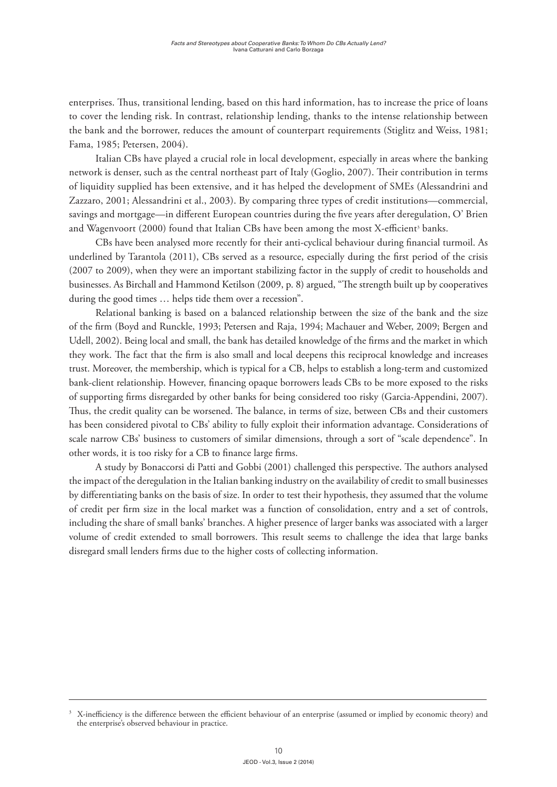enterprises. Thus, transitional lending, based on this hard information, has to increase the price of loans to cover the lending risk. In contrast, relationship lending, thanks to the intense relationship between the bank and the borrower, reduces the amount of counterpart requirements (Stiglitz and Weiss, 1981; Fama, 1985; Petersen, 2004).

Italian CBs have played a crucial role in local development, especially in areas where the banking network is denser, such as the central northeast part of Italy (Goglio, 2007). Their contribution in terms of liquidity supplied has been extensive, and it has helped the development of SMEs (Alessandrini and Zazzaro, 2001; Alessandrini et al., 2003). By comparing three types of credit institutions—commercial, savings and mortgage—in different European countries during the five years after deregulation, O' Brien and Wagenvoort (2000) found that Italian CBs have been among the most X-efficient<sup>3</sup> banks.

CBs have been analysed more recently for their anti-cyclical behaviour during financial turmoil. As underlined by Tarantola (2011), CBs served as a resource, especially during the first period of the crisis (2007 to 2009), when they were an important stabilizing factor in the supply of credit to households and businesses. As Birchall and Hammond Ketilson (2009, p. 8) argued, "The strength built up by cooperatives during the good times … helps tide them over a recession".

Relational banking is based on a balanced relationship between the size of the bank and the size of the firm (Boyd and Runckle, 1993; Petersen and Raja, 1994; Machauer and Weber, 2009; Bergen and Udell, 2002). Being local and small, the bank has detailed knowledge of the firms and the market in which they work. The fact that the firm is also small and local deepens this reciprocal knowledge and increases trust. Moreover, the membership, which is typical for a CB, helps to establish a long-term and customized bank-client relationship. However, financing opaque borrowers leads CBs to be more exposed to the risks of supporting firms disregarded by other banks for being considered too risky (Garcia-Appendini, 2007). Thus, the credit quality can be worsened. The balance, in terms of size, between CBs and their customers has been considered pivotal to CBs' ability to fully exploit their information advantage. Considerations of scale narrow CBs' business to customers of similar dimensions, through a sort of "scale dependence". In other words, it is too risky for a CB to finance large firms.

A study by Bonaccorsi di Patti and Gobbi (2001) challenged this perspective. The authors analysed the impact of the deregulation in the Italian banking industry on the availability of credit to small businesses by differentiating banks on the basis of size. In order to test their hypothesis, they assumed that the volume of credit per firm size in the local market was a function of consolidation, entry and a set of controls, including the share of small banks' branches. A higher presence of larger banks was associated with a larger volume of credit extended to small borrowers. This result seems to challenge the idea that large banks disregard small lenders firms due to the higher costs of collecting information.

<sup>3</sup> X-inefficiency is the difference between the efficient behaviour of an enterprise (assumed or implied by economic theory) and the enterprise's observed behaviour in practice.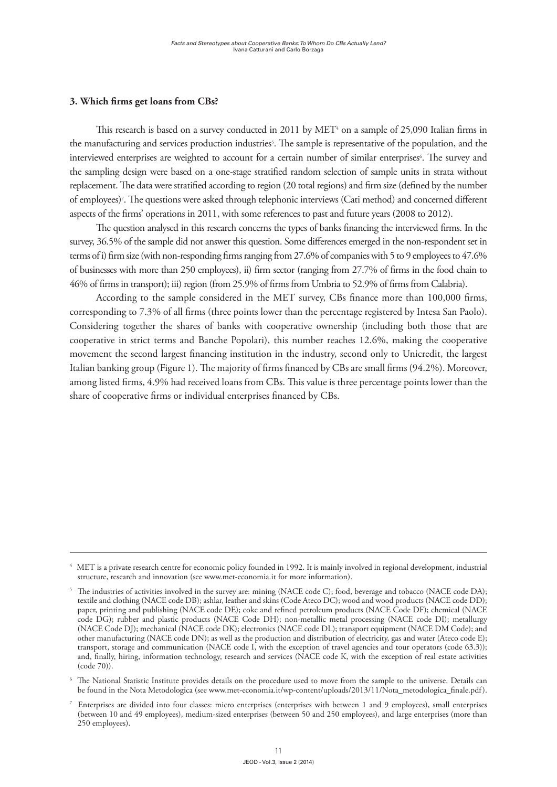#### **3. Which firms get loans from CBs?**

This research is based on a survey conducted in 2011 by  $MET^4$  on a sample of 25,090 Italian firms in the manufacturing and services production industries<sup>5</sup>. The sample is representative of the population, and the interviewed enterprises are weighted to account for a certain number of similar enterprises<sup>6</sup>. The survey and the sampling design were based on a one-stage stratified random selection of sample units in strata without replacement. The data were stratified according to region (20 total regions) and firm size (defined by the number of employees)7 . The questions were asked through telephonic interviews (Cati method) and concerned different aspects of the firms' operations in 2011, with some references to past and future years (2008 to 2012).

The question analysed in this research concerns the types of banks financing the interviewed firms. In the survey, 36.5% of the sample did not answer this question. Some differences emerged in the non-respondent set in terms of i) firm size (with non-responding firms ranging from 27.6% of companies with 5 to 9 employees to 47.6% of businesses with more than 250 employees), ii) firm sector (ranging from 27.7% of firms in the food chain to 46% of firms in transport); iii) region (from 25.9% of firms from Umbria to 52.9% of firms from Calabria).

According to the sample considered in the MET survey, CBs finance more than 100,000 firms, corresponding to 7.3% of all firms (three points lower than the percentage registered by Intesa San Paolo). Considering together the shares of banks with cooperative ownership (including both those that are cooperative in strict terms and Banche Popolari), this number reaches 12.6%, making the cooperative movement the second largest financing institution in the industry, second only to Unicredit, the largest Italian banking group (Figure 1). The majority of firms financed by CBs are small firms (94.2%). Moreover, among listed firms, 4.9% had received loans from CBs. This value is three percentage points lower than the share of cooperative firms or individual enterprises financed by CBs.

<sup>4</sup> MET is a private research centre for economic policy founded in 1992. It is mainly involved in regional development, industrial structure, research and innovation (see www.met-economia.it for more information).

<sup>&</sup>lt;sup>5</sup> The industries of activities involved in the survey are: mining (NACE code C); food, beverage and tobacco (NACE code DA); textile and clothing (NACE code DB); ashlar, leather and skins (Code Ateco DC); wood and wood products (NACE code DD); paper, printing and publishing (NACE code DE); coke and refined petroleum products (NACE Code DF); chemical (NACE code DG); rubber and plastic products (NACE Code DH); non-metallic metal processing (NACE code DI); metallurgy (NACE Code DJ); mechanical (NACE code DK); electronics (NACE code DL); transport equipment (NACE DM Code); and other manufacturing (NACE code DN); as well as the production and distribution of electricity, gas and water (Ateco code E); transport, storage and communication (NACE code I, with the exception of travel agencies and tour operators (code 63.3)); and, finally, hiring, information technology, research and services (NACE code K, with the exception of real estate activities (code 70)).

<sup>6</sup> The National Statistic Institute provides details on the procedure used to move from the sample to the universe. Details can be found in the Nota Metodologica (see www.met-economia.it/wp-content/uploads/2013/11/Nota\_metodologica\_finale.pdf).

<sup>7</sup> Enterprises are divided into four classes: micro enterprises (enterprises with between 1 and 9 employees), small enterprises (between 10 and 49 employees), medium-sized enterprises (between 50 and 250 employees), and large enterprises (more than 250 employees).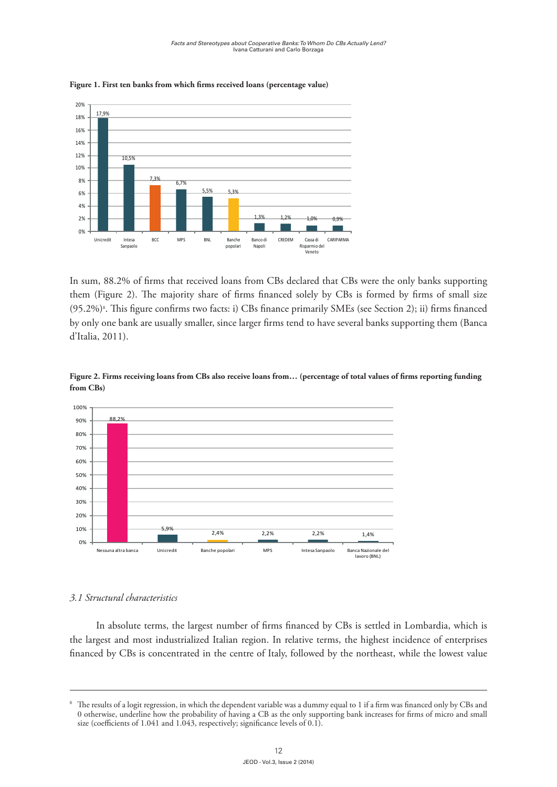

**Figure 1. First ten banks from which firms received loans (percentage value)**

In sum, 88.2% of firms that received loans from CBs declared that CBs were the only banks supporting them (Figure 2). The majority share of firms financed solely by CBs is formed by firms of small size (95.2%)8 . This figure confirms two facts: i) CBs finance primarily SMEs (see Section 2); ii) firms financed by only one bank are usually smaller, since larger firms tend to have several banks supporting them (Banca d'Italia, 2011).



**Figure 2. Firms receiving loans from CBs also receive loans from… (percentage of total values of firms reporting funding from CBs)**

#### *3.1 Structural characteristics*

In absolute terms, the largest number of firms financed by CBs is settled in Lombardia, which is the largest and most industrialized Italian region. In relative terms, the highest incidence of enterprises financed by CBs is concentrated in the centre of Italy, followed by the northeast, while the lowest value

<sup>8</sup> The results of a logit regression, in which the dependent variable was a dummy equal to 1 if a firm was financed only by CBs and 0 otherwise, underline how the probability of having a CB as the only supporting bank increases for firms of micro and small size (coefficients of 1.041 and 1.043, respectively; significance levels of 0.1).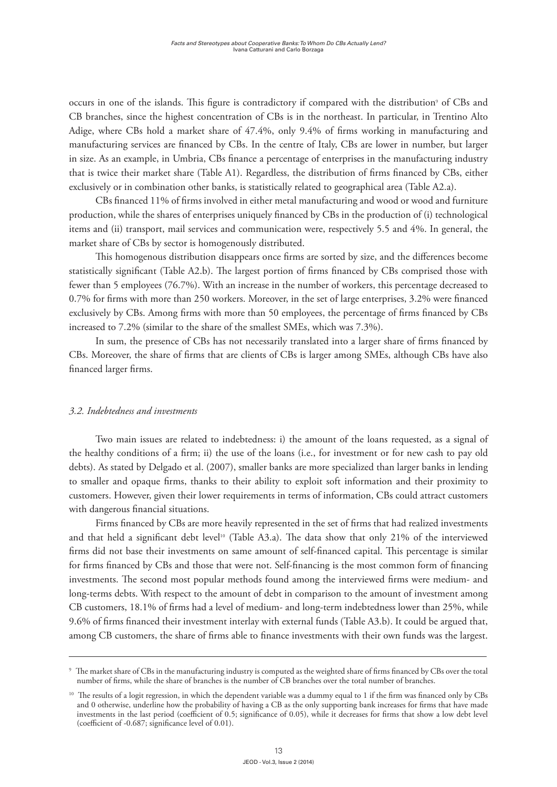occurs in one of the islands. This figure is contradictory if compared with the distribution<sup>9</sup> of CBs and CB branches, since the highest concentration of CBs is in the northeast. In particular, in Trentino Alto Adige, where CBs hold a market share of 47.4%, only 9.4% of firms working in manufacturing and manufacturing services are financed by CBs. In the centre of Italy, CBs are lower in number, but larger in size. As an example, in Umbria, CBs finance a percentage of enterprises in the manufacturing industry that is twice their market share (Table A1). Regardless, the distribution of firms financed by CBs, either exclusively or in combination other banks, is statistically related to geographical area (Table A2.a).

CBs financed 11% of firms involved in either metal manufacturing and wood or wood and furniture production, while the shares of enterprises uniquely financed by CBs in the production of (i) technological items and (ii) transport, mail services and communication were, respectively 5.5 and 4%. In general, the market share of CBs by sector is homogenously distributed.

This homogenous distribution disappears once firms are sorted by size, and the differences become statistically significant (Table A2.b). The largest portion of firms financed by CBs comprised those with fewer than 5 employees (76.7%). With an increase in the number of workers, this percentage decreased to 0.7% for firms with more than 250 workers. Moreover, in the set of large enterprises, 3.2% were financed exclusively by CBs. Among firms with more than 50 employees, the percentage of firms financed by CBs increased to 7.2% (similar to the share of the smallest SMEs, which was 7.3%).

In sum, the presence of CBs has not necessarily translated into a larger share of firms financed by CBs. Moreover, the share of firms that are clients of CBs is larger among SMEs, although CBs have also financed larger firms.

#### *3.2. Indebtedness and investments*

Two main issues are related to indebtedness: i) the amount of the loans requested, as a signal of the healthy conditions of a firm; ii) the use of the loans (i.e., for investment or for new cash to pay old debts). As stated by Delgado et al. (2007), smaller banks are more specialized than larger banks in lending to smaller and opaque firms, thanks to their ability to exploit soft information and their proximity to customers. However, given their lower requirements in terms of information, CBs could attract customers with dangerous financial situations.

Firms financed by CBs are more heavily represented in the set of firms that had realized investments and that held a significant debt level<sup>10</sup> (Table A3.a). The data show that only 21% of the interviewed firms did not base their investments on same amount of self-financed capital. This percentage is similar for firms financed by CBs and those that were not. Self-financing is the most common form of financing investments. The second most popular methods found among the interviewed firms were medium- and long-terms debts. With respect to the amount of debt in comparison to the amount of investment among CB customers, 18.1% of firms had a level of medium- and long-term indebtedness lower than 25%, while 9.6% of firms financed their investment interlay with external funds (Table A3.b). It could be argued that, among CB customers, the share of firms able to finance investments with their own funds was the largest.

<sup>9</sup> The market share of CBs in the manufacturing industry is computed as the weighted share of firms financed by CBs over the total number of firms, while the share of branches is the number of CB branches over the total number of branches.

<sup>&</sup>lt;sup>10</sup> The results of a logit regression, in which the dependent variable was a dummy equal to 1 if the firm was financed only by CBs and 0 otherwise, underline how the probability of having a CB as the only supporting bank increases for firms that have made investments in the last period (coefficient of 0.5; significance of 0.05), while it decreases for firms that show a low debt level (coefficient of -0.687; significance level of 0.01).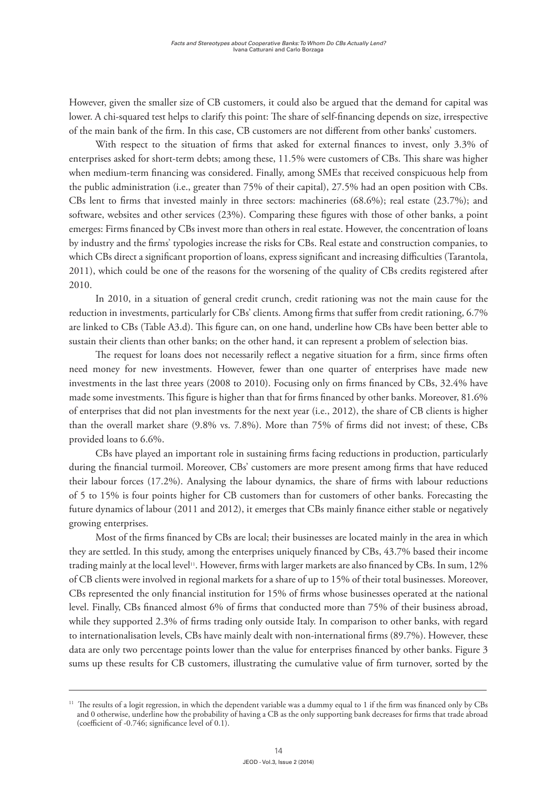However, given the smaller size of CB customers, it could also be argued that the demand for capital was lower. A chi-squared test helps to clarify this point: The share of self-financing depends on size, irrespective of the main bank of the firm. In this case, CB customers are not different from other banks' customers.

With respect to the situation of firms that asked for external finances to invest, only 3.3% of enterprises asked for short-term debts; among these, 11.5% were customers of CBs. This share was higher when medium-term financing was considered. Finally, among SMEs that received conspicuous help from the public administration (i.e., greater than 75% of their capital), 27.5% had an open position with CBs. CBs lent to firms that invested mainly in three sectors: machineries (68.6%); real estate (23.7%); and software, websites and other services (23%). Comparing these figures with those of other banks, a point emerges: Firms financed by CBs invest more than others in real estate. However, the concentration of loans by industry and the firms' typologies increase the risks for CBs. Real estate and construction companies, to which CBs direct a significant proportion of loans, express significant and increasing difficulties (Tarantola, 2011), which could be one of the reasons for the worsening of the quality of CBs credits registered after 2010.

In 2010, in a situation of general credit crunch, credit rationing was not the main cause for the reduction in investments, particularly for CBs' clients. Among firms that suffer from credit rationing, 6.7% are linked to CBs (Table A3.d). This figure can, on one hand, underline how CBs have been better able to sustain their clients than other banks; on the other hand, it can represent a problem of selection bias.

The request for loans does not necessarily reflect a negative situation for a firm, since firms often need money for new investments. However, fewer than one quarter of enterprises have made new investments in the last three years (2008 to 2010). Focusing only on firms financed by CBs, 32.4% have made some investments. This figure is higher than that for firms financed by other banks. Moreover, 81.6% of enterprises that did not plan investments for the next year (i.e., 2012), the share of CB clients is higher than the overall market share (9.8% vs. 7.8%). More than 75% of firms did not invest; of these, CBs provided loans to 6.6%.

CBs have played an important role in sustaining firms facing reductions in production, particularly during the financial turmoil. Moreover, CBs' customers are more present among firms that have reduced their labour forces (17.2%). Analysing the labour dynamics, the share of firms with labour reductions of 5 to 15% is four points higher for CB customers than for customers of other banks. Forecasting the future dynamics of labour (2011 and 2012), it emerges that CBs mainly finance either stable or negatively growing enterprises.

Most of the firms financed by CBs are local; their businesses are located mainly in the area in which they are settled. In this study, among the enterprises uniquely financed by CBs, 43.7% based their income trading mainly at the local level<sup>11</sup>. However, firms with larger markets are also financed by CBs. In sum, 12% of CB clients were involved in regional markets for a share of up to 15% of their total businesses. Moreover, CBs represented the only financial institution for 15% of firms whose businesses operated at the national level. Finally, CBs financed almost 6% of firms that conducted more than 75% of their business abroad, while they supported 2.3% of firms trading only outside Italy. In comparison to other banks, with regard to internationalisation levels, CBs have mainly dealt with non-international firms (89.7%). However, these data are only two percentage points lower than the value for enterprises financed by other banks. Figure 3 sums up these results for CB customers, illustrating the cumulative value of firm turnover, sorted by the

 $11$  The results of a logit regression, in which the dependent variable was a dummy equal to 1 if the firm was financed only by CBs and 0 otherwise, underline how the probability of having a CB as the only supporting bank decreases for firms that trade abroad (coefficient of -0.746; significance level of 0.1).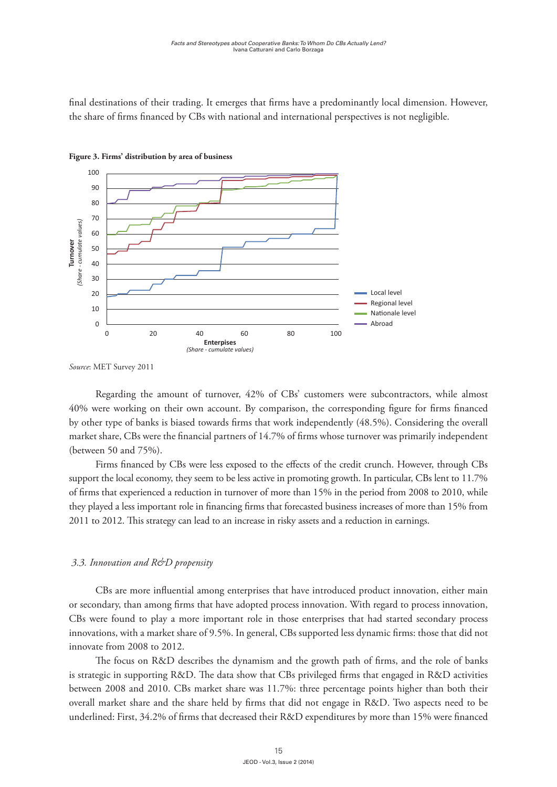final destinations of their trading. It emerges that firms have a predominantly local dimension. However, the share of firms financed by CBs with national and international perspectives is not negligible.





*Source*: MET Survey 2011

Regarding the amount of turnover, 42% of CBs' customers were subcontractors, while almost 40% were working on their own account. By comparison, the corresponding figure for firms financed by other type of banks is biased towards firms that work independently (48.5%). Considering the overall market share, CBs were the financial partners of 14.7% of firms whose turnover was primarily independent (between 50 and 75%).

Firms financed by CBs were less exposed to the effects of the credit crunch. However, through CBs support the local economy, they seem to be less active in promoting growth. In particular, CBs lent to 11.7% of firms that experienced a reduction in turnover of more than 15% in the period from 2008 to 2010, while they played a less important role in financing firms that forecasted business increases of more than 15% from 2011 to 2012. This strategy can lead to an increase in risky assets and a reduction in earnings.

#### *3.3. Innovation and R&D propensity*

CBs are more influential among enterprises that have introduced product innovation, either main or secondary, than among firms that have adopted process innovation. With regard to process innovation, CBs were found to play a more important role in those enterprises that had started secondary process innovations, with a market share of 9.5%. In general, CBs supported less dynamic firms: those that did not innovate from 2008 to 2012.

The focus on R&D describes the dynamism and the growth path of firms, and the role of banks is strategic in supporting R&D. The data show that CBs privileged firms that engaged in R&D activities between 2008 and 2010. CBs market share was 11.7%: three percentage points higher than both their overall market share and the share held by firms that did not engage in R&D. Two aspects need to be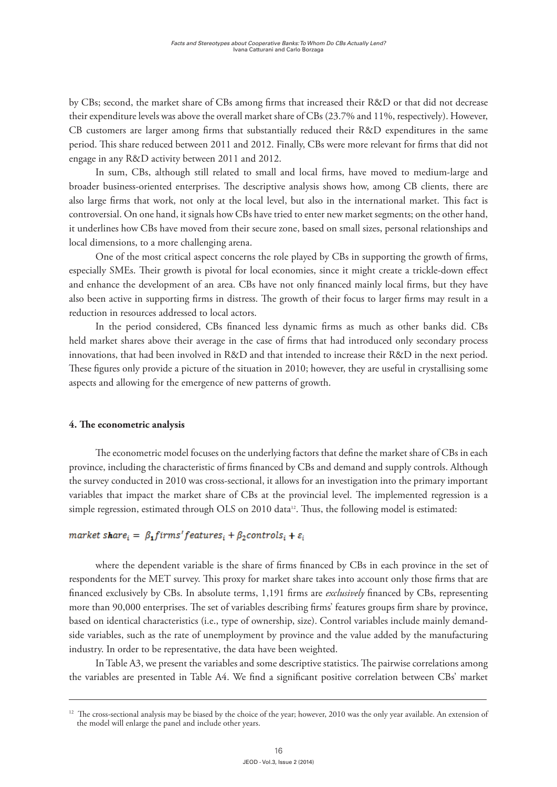by CBs; second, the market share of CBs among firms that increased their R&D or that did not decrease their expenditure levels was above the overall market share of CBs (23.7% and 11%, respectively). However, CB customers are larger among firms that substantially reduced their R&D expenditures in the same period. This share reduced between 2011 and 2012. Finally, CBs were more relevant for firms that did not engage in any R&D activity between 2011 and 2012.

In sum, CBs, although still related to small and local firms, have moved to medium-large and broader business-oriented enterprises. The descriptive analysis shows how, among CB clients, there are also large firms that work, not only at the local level, but also in the international market. This fact is controversial. On one hand, it signals how CBs have tried to enter new market segments; on the other hand, it underlines how CBs have moved from their secure zone, based on small sizes, personal relationships and local dimensions, to a more challenging arena.

One of the most critical aspect concerns the role played by CBs in supporting the growth of firms, especially SMEs. Their growth is pivotal for local economies, since it might create a trickle-down effect and enhance the development of an area. CBs have not only financed mainly local firms, but they have also been active in supporting firms in distress. The growth of their focus to larger firms may result in a reduction in resources addressed to local actors.

In the period considered, CBs financed less dynamic firms as much as other banks did. CBs held market shares above their average in the case of firms that had introduced only secondary process innovations, that had been involved in R&D and that intended to increase their R&D in the next period. These figures only provide a picture of the situation in 2010; however, they are useful in crystallising some aspects and allowing for the emergence of new patterns of growth.

#### **4. The econometric analysis**

The econometric model focuses on the underlying factors that define the market share of CBs in each province, including the characteristic of firms financed by CBs and demand and supply controls. Although the survey conducted in 2010 was cross-sectional, it allows for an investigation into the primary important variables that impact the market share of CBs at the provincial level. The implemented regression is a simple regression, estimated through OLS on 2010 data<sup>12</sup>. Thus, the following model is estimated:

#### market share<sub>i</sub> =  $\beta_1$ firms' features<sub>i</sub> +  $\beta_2$ controls<sub>i</sub> +  $\varepsilon_i$

where the dependent variable is the share of firms financed by CBs in each province in the set of respondents for the MET survey. This proxy for market share takes into account only those firms that are financed exclusively by CBs. In absolute terms, 1,191 firms are *exclusively* financed by CBs, representing more than 90,000 enterprises. The set of variables describing firms' features groups firm share by province, based on identical characteristics (i.e., type of ownership, size). Control variables include mainly demandside variables, such as the rate of unemployment by province and the value added by the manufacturing industry. In order to be representative, the data have been weighted.

In Table A3, we present the variables and some descriptive statistics. The pairwise correlations among the variables are presented in Table A4. We find a significant positive correlation between CBs' market

<sup>&</sup>lt;sup>12</sup> The cross-sectional analysis may be biased by the choice of the year; however, 2010 was the only year available. An extension of the model will enlarge the panel and include other years.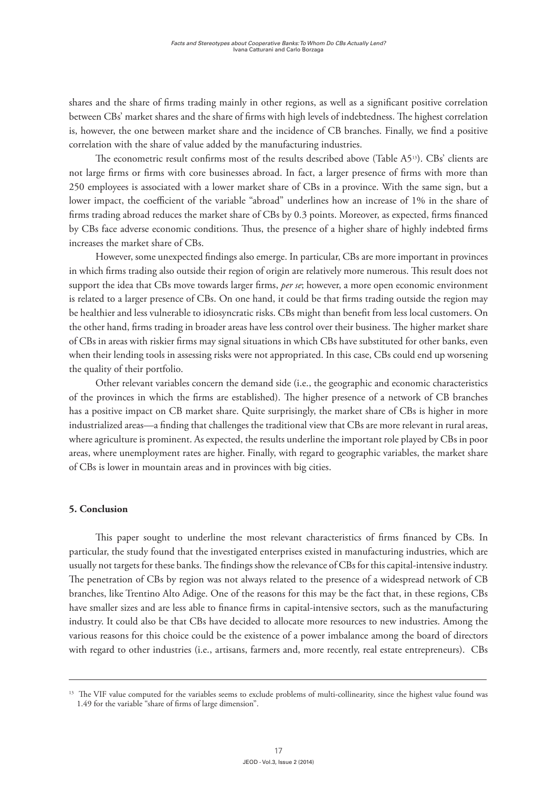shares and the share of firms trading mainly in other regions, as well as a significant positive correlation between CBs' market shares and the share of firms with high levels of indebtedness. The highest correlation is, however, the one between market share and the incidence of CB branches. Finally, we find a positive correlation with the share of value added by the manufacturing industries.

The econometric result confirms most of the results described above (Table A513). CBs' clients are not large firms or firms with core businesses abroad. In fact, a larger presence of firms with more than 250 employees is associated with a lower market share of CBs in a province. With the same sign, but a lower impact, the coefficient of the variable "abroad" underlines how an increase of 1% in the share of firms trading abroad reduces the market share of CBs by 0.3 points. Moreover, as expected, firms financed by CBs face adverse economic conditions. Thus, the presence of a higher share of highly indebted firms increases the market share of CBs.

However, some unexpected findings also emerge. In particular, CBs are more important in provinces in which firms trading also outside their region of origin are relatively more numerous. This result does not support the idea that CBs move towards larger firms, *per se*; however, a more open economic environment is related to a larger presence of CBs. On one hand, it could be that firms trading outside the region may be healthier and less vulnerable to idiosyncratic risks. CBs might than benefit from less local customers. On the other hand, firms trading in broader areas have less control over their business. The higher market share of CBs in areas with riskier firms may signal situations in which CBs have substituted for other banks, even when their lending tools in assessing risks were not appropriated. In this case, CBs could end up worsening the quality of their portfolio.

Other relevant variables concern the demand side (i.e., the geographic and economic characteristics of the provinces in which the firms are established). The higher presence of a network of CB branches has a positive impact on CB market share. Quite surprisingly, the market share of CBs is higher in more industrialized areas—a finding that challenges the traditional view that CBs are more relevant in rural areas, where agriculture is prominent. As expected, the results underline the important role played by CBs in poor areas, where unemployment rates are higher. Finally, with regard to geographic variables, the market share of CBs is lower in mountain areas and in provinces with big cities.

#### **5. Conclusion**

This paper sought to underline the most relevant characteristics of firms financed by CBs. In particular, the study found that the investigated enterprises existed in manufacturing industries, which are usually not targets for these banks. The findings show the relevance of CBs for this capital-intensive industry. The penetration of CBs by region was not always related to the presence of a widespread network of CB branches, like Trentino Alto Adige. One of the reasons for this may be the fact that, in these regions, CBs have smaller sizes and are less able to finance firms in capital-intensive sectors, such as the manufacturing industry. It could also be that CBs have decided to allocate more resources to new industries. Among the various reasons for this choice could be the existence of a power imbalance among the board of directors with regard to other industries (i.e., artisans, farmers and, more recently, real estate entrepreneurs). CBs

<sup>&</sup>lt;sup>13</sup> The VIF value computed for the variables seems to exclude problems of multi-collinearity, since the highest value found was 1.49 for the variable "share of firms of large dimension".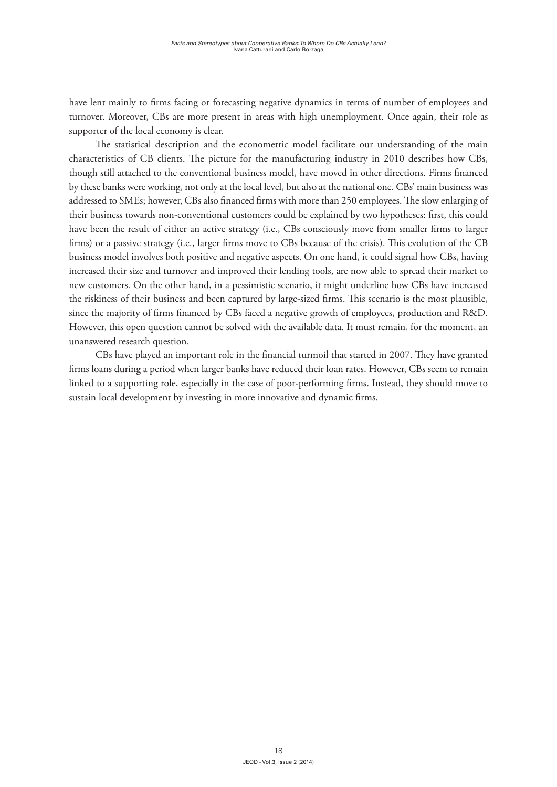have lent mainly to firms facing or forecasting negative dynamics in terms of number of employees and turnover. Moreover, CBs are more present in areas with high unemployment. Once again, their role as supporter of the local economy is clear.

The statistical description and the econometric model facilitate our understanding of the main characteristics of CB clients. The picture for the manufacturing industry in 2010 describes how CBs, though still attached to the conventional business model, have moved in other directions. Firms financed by these banks were working, not only at the local level, but also at the national one. CBs' main business was addressed to SMEs; however, CBs also financed firms with more than 250 employees. The slow enlarging of their business towards non-conventional customers could be explained by two hypotheses: first, this could have been the result of either an active strategy (i.e., CBs consciously move from smaller firms to larger firms) or a passive strategy (i.e., larger firms move to CBs because of the crisis). This evolution of the CB business model involves both positive and negative aspects. On one hand, it could signal how CBs, having increased their size and turnover and improved their lending tools, are now able to spread their market to new customers. On the other hand, in a pessimistic scenario, it might underline how CBs have increased the riskiness of their business and been captured by large-sized firms. This scenario is the most plausible, since the majority of firms financed by CBs faced a negative growth of employees, production and R&D. However, this open question cannot be solved with the available data. It must remain, for the moment, an unanswered research question.

CBs have played an important role in the financial turmoil that started in 2007. They have granted firms loans during a period when larger banks have reduced their loan rates. However, CBs seem to remain linked to a supporting role, especially in the case of poor-performing firms. Instead, they should move to sustain local development by investing in more innovative and dynamic firms.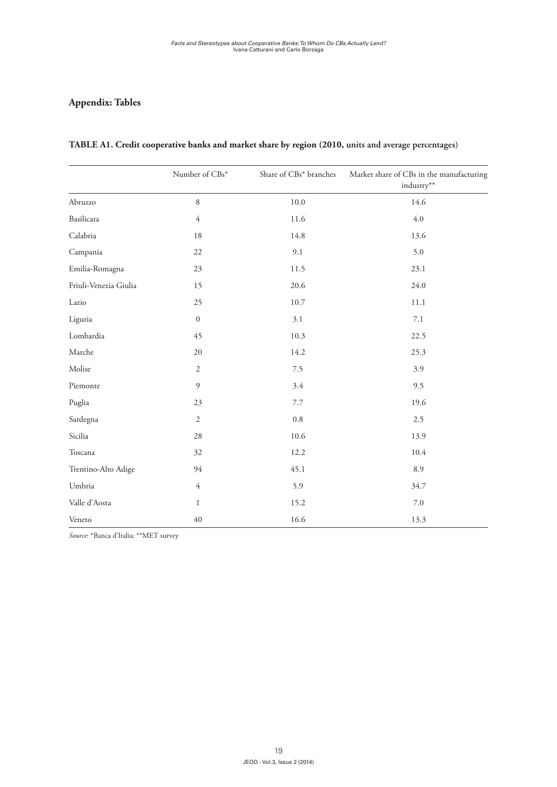# **Appendix: Tables**

|                       | Number of CBs*   | Share of CBs* branches | Market share of CBs in the manufacturing<br>industry** |
|-----------------------|------------------|------------------------|--------------------------------------------------------|
| Abruzzo               | $\,8\,$          | 10.0                   | 14.6                                                   |
| Basilicata            | $\overline{4}$   | 11.6                   | 4.0                                                    |
| Calabria              | $18\,$           | 14.8                   | 13.6                                                   |
| Campania              | 22               | 9.1                    | 5.0                                                    |
| Emilia-Romagna        | 23               | 11.5                   | 23.1                                                   |
| Friuli-Venezia Giulia | 15               | 20.6                   | 24.0                                                   |
| Lazio                 | 25               | 10.7                   | 11.1                                                   |
| Liguria               | $\boldsymbol{0}$ | 3.1                    | $7.1\,$                                                |
| Lombardia             | 45               | 10.3                   | 22.5                                                   |
| Marche                | 20               | 14.2                   | 25.3                                                   |
| Molise                | $\sqrt{2}$       | $7.5$                  | 3.9                                                    |
| Piemonte              | $\mathfrak{g}$   | 3.4                    | 9.5                                                    |
| Puglia                | 23               | 7.7                    | 19.6                                                   |
| Sardegna              | $\sqrt{2}$       | $0.8\,$                | 2.5                                                    |
| Sicilia               | 28               | 10.6                   | 13.9                                                   |
| Toscana               | 32               | 12.2                   | 10.4                                                   |
| Trentino-Alto Adige   | 94               | 45.1                   | 8.9                                                    |
| Umbria                | $\overline{4}$   | 5.9                    | 34.7                                                   |
| Valle d'Aosta         | $\mathbf{1}$     | 15.2                   | $7.0\,$                                                |
| Veneto                | $40\,$           | 16.6                   | 13.3                                                   |

#### **Table A1. Credit cooperative banks and market share by region (2010, units and average percentages)**

*Source*: \*Banca d'Italia; \*\*MET survey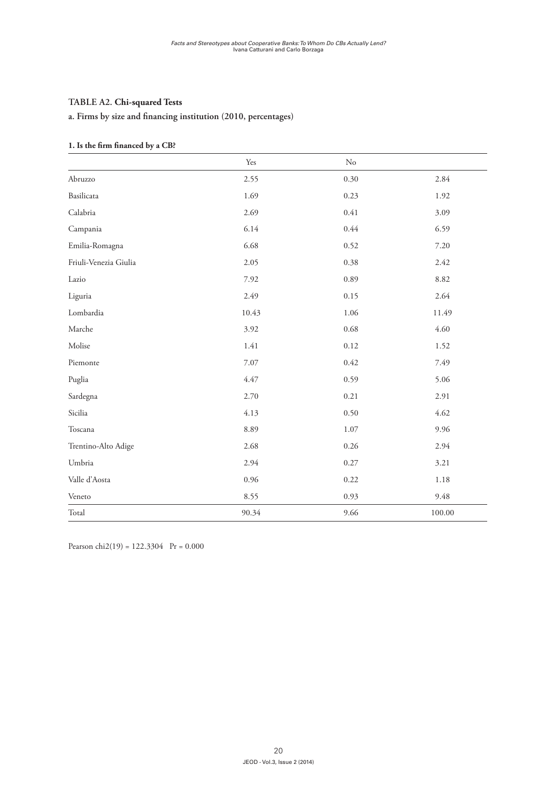## **Table A2. Chi-squared Tests**

#### **a. Firms by size and financing institution (2010, percentages)**

#### **1. Is the firm financed by a CB?**

|                       | Yes   | $\rm No$ |        |
|-----------------------|-------|----------|--------|
| Abruzzo               | 2.55  | 0.30     | 2.84   |
| Basilicata            | 1.69  | 0.23     | 1.92   |
| Calabria              | 2.69  | 0.41     | 3.09   |
| Campania              | 6.14  | 0.44     | 6.59   |
| Emilia-Romagna        | 6.68  | 0.52     | 7.20   |
| Friuli-Venezia Giulia | 2.05  | 0.38     | 2.42   |
| Lazio                 | 7.92  | 0.89     | 8.82   |
| Liguria               | 2.49  | 0.15     | 2.64   |
| Lombardia             | 10.43 | 1.06     | 11.49  |
| Marche                | 3.92  | 0.68     | 4.60   |
| Molise                | 1.41  | 0.12     | 1.52   |
| Piemonte              | 7.07  | 0.42     | 7.49   |
| Puglia                | 4.47  | 0.59     | 5.06   |
| Sardegna              | 2.70  | 0.21     | 2.91   |
| Sicilia               | 4.13  | 0.50     | 4.62   |
| Toscana               | 8.89  | 1.07     | 9.96   |
| Trentino-Alto Adige   | 2.68  | 0.26     | 2.94   |
| Umbria                | 2.94  | 0.27     | 3.21   |
| Valle d'Aosta         | 0.96  | 0.22     | 1.18   |
| Veneto                | 8.55  | 0.93     | 9.48   |
| Total                 | 90.34 | 9.66     | 100.00 |

Pearson chi2(19) =  $122.3304$  Pr = 0.000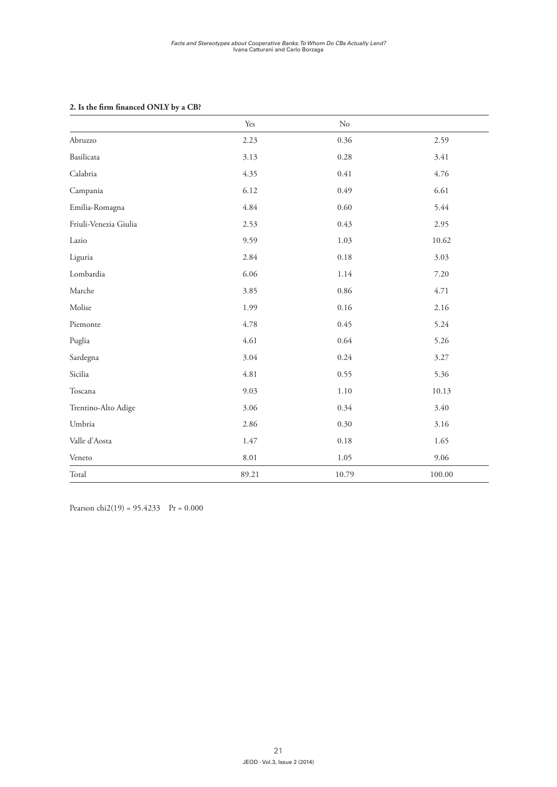#### **2. Is the firm financed ONLY by a CB?**

|                       | Yes   | $\rm No$ |        |
|-----------------------|-------|----------|--------|
| Abruzzo               | 2.23  | 0.36     | 2.59   |
| Basilicata            | 3.13  | 0.28     | 3.41   |
| Calabria              | 4.35  | 0.41     | 4.76   |
| Campania              | 6.12  | 0.49     | 6.61   |
| Emilia-Romagna        | 4.84  | 0.60     | 5.44   |
| Friuli-Venezia Giulia | 2.53  | 0.43     | 2.95   |
| Lazio                 | 9.59  | 1.03     | 10.62  |
| Liguria               | 2.84  | 0.18     | 3.03   |
| Lombardia             | 6.06  | 1.14     | 7.20   |
| Marche                | 3.85  | 0.86     | 4.71   |
| Molise                | 1.99  | 0.16     | 2.16   |
| Piemonte              | 4.78  | 0.45     | 5.24   |
| Puglia                | 4.61  | 0.64     | 5.26   |
| Sardegna              | 3.04  | 0.24     | 3.27   |
| Sicilia               | 4.81  | 0.55     | 5.36   |
| Toscana               | 9.03  | 1.10     | 10.13  |
| Trentino-Alto Adige   | 3.06  | 0.34     | 3.40   |
| Umbria                | 2.86  | 0.30     | 3.16   |
| Valle d'Aosta         | 1.47  | 0.18     | 1.65   |
| Veneto                | 8.01  | 1.05     | 9.06   |
| Total                 | 89.21 | 10.79    | 100.00 |

Pearson chi2(19) =  $95.4233$  Pr = 0.000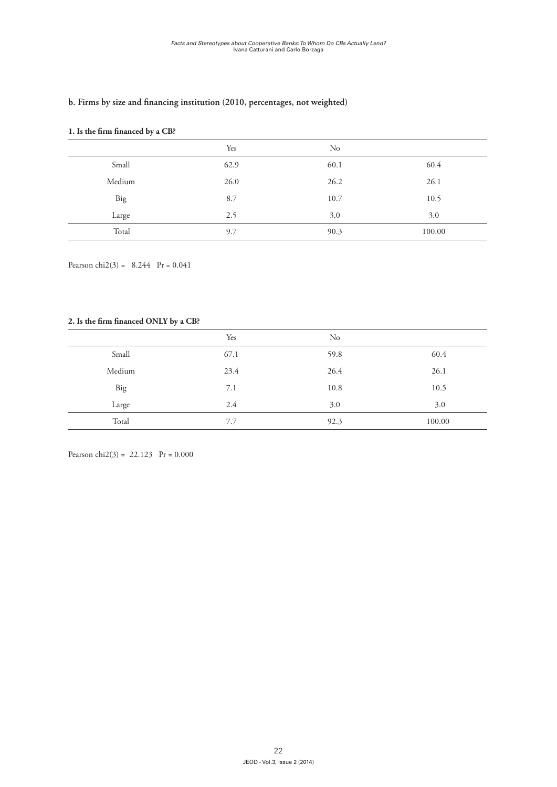#### **b. Firms by size and financing institution (2010, percentages, not weighted)**

#### **1. Is the firm financed by a CB?**

|        | Yes  | $\rm No$ |        |
|--------|------|----------|--------|
| Small  | 62.9 | 60.1     | 60.4   |
| Medium | 26.0 | 26.2     | 26.1   |
| Big    | 8.7  | 10.7     | 10.5   |
| Large  | 2.5  | 3.0      | 3.0    |
| Total  | 9.7  | 90.3     | 100.00 |

Pearson chi2(3) =  $8.244$  Pr = 0.041

#### **2. Is the firm financed ONLY by a CB?**

|        | Yes  | No   |        |
|--------|------|------|--------|
| Small  | 67.1 | 59.8 | 60.4   |
| Medium | 23.4 | 26.4 | 26.1   |
| Big    | 7.1  | 10.8 | 10.5   |
| Large  | 2.4  | 3.0  | 3.0    |
| Total  | 7.7  | 92.3 | 100.00 |

Pearson chi2(3) = 22.123 Pr =  $0.000$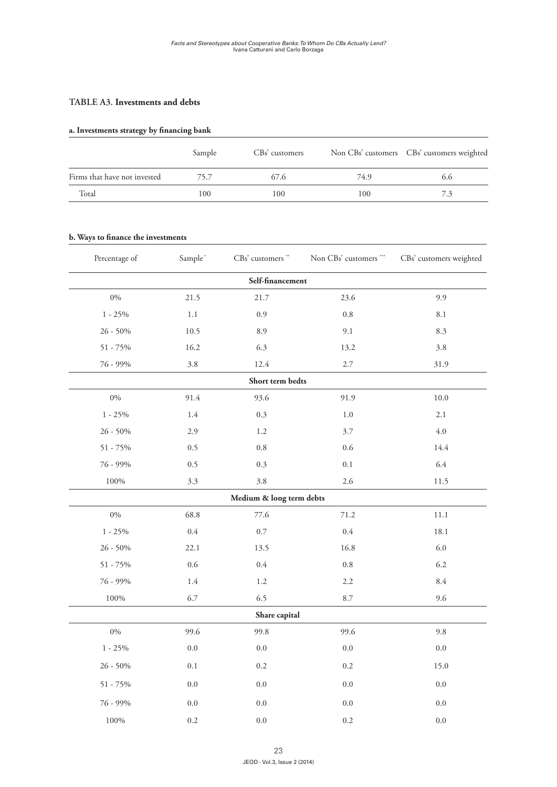#### **Table A3. Investments and debts**

#### **a. Investments strategy by financing bank**

|                              | Sample | CBs' customers |      | Non CBs' customers CBs' customers weighted |
|------------------------------|--------|----------------|------|--------------------------------------------|
| Firms that have not invested | 75.7   | 67.6           | 74.9 | 6.6                                        |
| Total                        | 100    | 100            | 100  | 7.3                                        |

#### **b. Ways to finance the investments**

| Percentage of | Sample <sup>*</sup> | CBs' customers **        | Non CBs' customers *** | CBs' customers weighted |  |  |  |  |  |
|---------------|---------------------|--------------------------|------------------------|-------------------------|--|--|--|--|--|
|               |                     | Self-financement         |                        |                         |  |  |  |  |  |
| $0\%$         | 21.5                | 21.7                     | 23.6                   | 9.9                     |  |  |  |  |  |
| $1 - 25\%$    | 1.1                 | 0.9                      | 0.8                    | 8.1                     |  |  |  |  |  |
| $26 - 50\%$   | 10.5                | 8.9                      | 9.1                    | 8.3                     |  |  |  |  |  |
| $51 - 75\%$   | 16.2                | 6.3                      | 13.2                   | 3.8                     |  |  |  |  |  |
| 76 - 99%      | $3.8\,$             | 12.4                     | 2.7                    | 31.9                    |  |  |  |  |  |
|               |                     | Short term bedts         |                        |                         |  |  |  |  |  |
| $0\%$         | 91.4                | 93.6                     | 91.9                   | 10.0                    |  |  |  |  |  |
| $1 - 25\%$    | 1.4                 | 0.3                      | $1.0\,$                | 2.1                     |  |  |  |  |  |
| $26 - 50\%$   | 2.9                 | 1.2                      | 3.7                    | $4.0\,$                 |  |  |  |  |  |
| $51 - 75\%$   | 0.5                 | $0.8\,$                  | 0.6                    | 14.4                    |  |  |  |  |  |
| 76 - 99%      | 0.5                 | 0.3                      | 0.1                    | 6.4                     |  |  |  |  |  |
| 100%          | 3.3                 | 3.8                      | 2.6                    | 11.5                    |  |  |  |  |  |
|               |                     | Medium & long term debts |                        |                         |  |  |  |  |  |
| $0\%$         | 68.8                | 77.6                     | 71.2                   | 11.1                    |  |  |  |  |  |
| $1 - 25\%$    | $0.4\,$             | $0.7\,$                  | $0.4\,$                | 18.1                    |  |  |  |  |  |
| $26 - 50\%$   | 22.1                | 13.5                     | 16.8                   | 6.0                     |  |  |  |  |  |
| $51 - 75%$    | 0.6                 | $0.4\,$                  | $0.8\,$                | 6.2                     |  |  |  |  |  |
| 76 - 99%      | $1.4\,$             | $1.2\,$                  | 2.2                    | 8.4                     |  |  |  |  |  |
| $100\%$       | 6.7                 | 6.5                      | 8.7                    |                         |  |  |  |  |  |
|               | Share capital       |                          |                        |                         |  |  |  |  |  |
| $0\%$         | 99.6                | 99.8                     | 99.6                   | 9.8                     |  |  |  |  |  |
| $1 - 25\%$    | $0.0\,$             | $0.0\,$                  | 0.0                    | $0.0\,$                 |  |  |  |  |  |
| $26 - 50\%$   | 0.1                 | 0.2                      | 0.2                    | 15.0                    |  |  |  |  |  |
| $51 - 75%$    | $0.0\,$             | $0.0\,$                  | $0.0\,$                | $0.0\,$                 |  |  |  |  |  |
| 76 - 99%      | $0.0\,$             | $0.0\,$                  | 0.0                    | $0.0\,$                 |  |  |  |  |  |
| 100%          | $0.2\,$             | 0.0                      | 0.2                    | 0.0                     |  |  |  |  |  |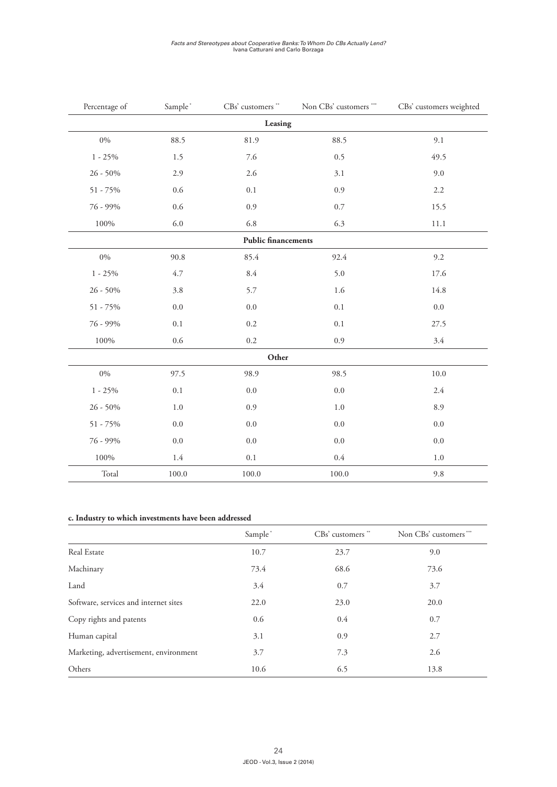# *Facts and Stereotypes about Cooperative Banks: To Whom Do CBs Actually Lend?* Ivana Catturani and Carlo Borzaga

| Percentage of | Sample*   | CBs' customers **          | Non CBs' customers *** | CBs' customers weighted |
|---------------|-----------|----------------------------|------------------------|-------------------------|
|               |           | Leasing                    |                        |                         |
| $0\%$         | 88.5      | 81.9                       | 88.5                   | 9.1                     |
| $1 - 25\%$    | 1.5       | 7.6                        | 0.5                    | 49.5                    |
| $26 - 50\%$   | 2.9       | 2.6                        | 3.1                    | 9.0                     |
| $51 - 75%$    | 0.6       | $0.1\,$                    | 0.9                    | 2.2                     |
| 76 - 99%      | 0.6       | 0.9                        | $0.7\,$                | 15.5                    |
| 100%          | 6.0       | 6.8                        | 6.3                    | 11.1                    |
|               |           | <b>Public financements</b> |                        |                         |
| $0\%$         | 90.8      | 85.4                       | 92.4                   | 9.2                     |
| $1 - 25\%$    | 4.7       | $8.4\,$                    | 5.0                    | 17.6                    |
| $26 - 50\%$   | 3.8       | 5.7                        | 1.6                    | 14.8                    |
| $51 - 75%$    | $0.0\,$   | 0.0                        | 0.1                    | $0.0\,$                 |
| 76 - 99%      | $0.1\,$   | 0.2                        | $0.1\,$                | 27.5                    |
| $100\%$       | 0.6       | 0.2                        | 0.9                    |                         |
|               |           | Other                      |                        |                         |
| $0\%$         | 97.5      | 98.9                       | 98.5                   | $10.0\,$                |
| $1 - 25\%$    | $0.1\,$   | $0.0\,$                    | 0.0                    | $2.4\,$                 |
| $26 - 50\%$   | $1.0\,$   | 0.9                        | $1.0\,$                | 8.9                     |
| $51 - 75\%$   | $0.0\,$   | 0.0                        | 0.0                    | 0.0                     |
| 76 - 99%      | $0.0\,$   | $0.0\,$                    | 0.0                    | 0.0                     |
| $100\%$       | 1.4       | $0.1\,$                    | $0.4\,$                | $1.0\,$                 |
| Total         | $100.0\,$ | 100.0                      | 100.0                  | 9.8                     |

#### **c. Industry to which investments have been addressed**

|                                       | Sample* | CBs' customers " | Non CBs' customers *** |
|---------------------------------------|---------|------------------|------------------------|
| Real Estate                           | 10.7    | 23.7             | 9.0                    |
| Machinary                             | 73.4    | 68.6             | 73.6                   |
| Land                                  | 3.4     | 0.7              | 3.7                    |
| Software, services and internet sites | 22.0    | 23.0             | 20.0                   |
| Copy rights and patents               | 0.6     | 0.4              | 0.7                    |
| Human capital                         | 3.1     | 0.9              | 2.7                    |
| Marketing, advertisement, environment | 3.7     | 7.3              | 2.6                    |
| Others                                | 10.6    | 6.5              | 13.8                   |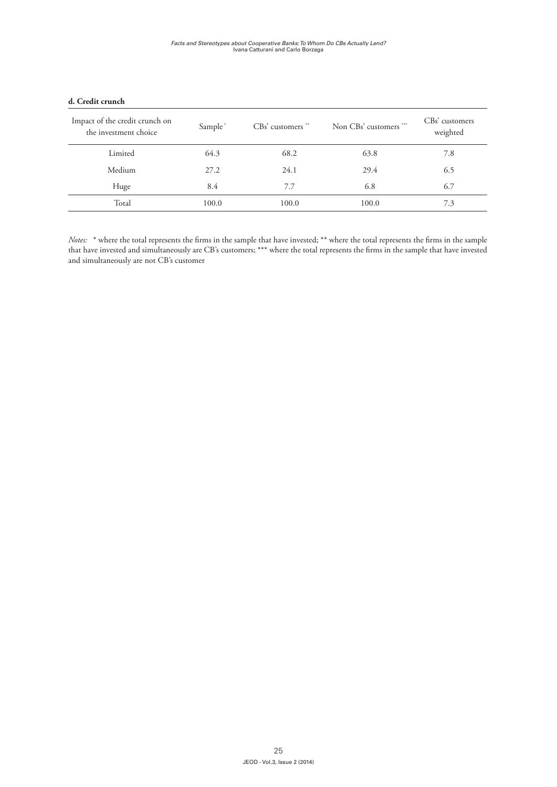| Impact of the credit crunch on<br>the investment choice | Sample <sup>*</sup> | $CBs'$ customers $**$ | Non CBs' customers *** | CBs' customers<br>weighted |
|---------------------------------------------------------|---------------------|-----------------------|------------------------|----------------------------|
| Limited                                                 | 64.3                | 68.2                  | 63.8                   | 7.8                        |
| Medium                                                  | 27.2                | 24.1                  | 29.4                   | 6.5                        |
| Huge                                                    | 8.4                 | 7.7                   | 6.8                    | 6.7                        |
| Total                                                   | 100.0               | 100.0                 | 100.0                  | 7.3                        |

#### **d. Credit crunch**

*Notes:* \* where the total represents the firms in the sample that have invested; \*\* where the total represents the firms in the sample that have invested and simultaneously are CB's customers; \*\*\* where the total represents the firms in the sample that have invested and simultaneously are not CB's customer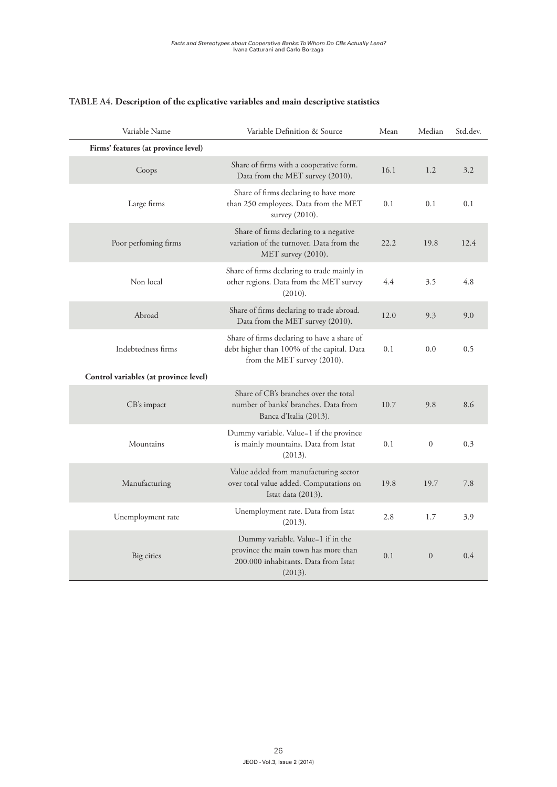| Variable Name                         | Variable Definition & Source                                                                                                 | Mean | Median       | Std.dev. |
|---------------------------------------|------------------------------------------------------------------------------------------------------------------------------|------|--------------|----------|
| Firms' features (at province level)   |                                                                                                                              |      |              |          |
| Coops                                 | Share of firms with a cooperative form.<br>Data from the MET survey (2010).                                                  | 16.1 | 1.2          | 3.2      |
| Large firms                           | Share of firms declaring to have more<br>than 250 employees. Data from the MET<br>survey (2010).                             | 0.1  | 0.1          | 0.1      |
| Poor perfoming firms                  | Share of firms declaring to a negative<br>variation of the turnover. Data from the<br>MET survey (2010).                     | 22.2 | 19.8         | 12.4     |
| Non local                             | Share of firms declaring to trade mainly in<br>other regions. Data from the MET survey<br>(2010).                            | 4.4  | 3.5          | 4.8      |
| Abroad                                | Share of firms declaring to trade abroad.<br>Data from the MET survey (2010).                                                | 12.0 | 9.3          | 9.0      |
| Indebtedness firms                    | Share of firms declaring to have a share of<br>debt higher than 100% of the capital. Data<br>from the MET survey (2010).     | 0.1  | 0.0          | 0.5      |
| Control variables (at province level) |                                                                                                                              |      |              |          |
| CB's impact                           | Share of CB's branches over the total<br>number of banks' branches. Data from<br>Banca d'Italia (2013).                      | 10.7 | 9.8          | 8.6      |
| Mountains                             | Dummy variable. Value=1 if the province<br>is mainly mountains. Data from Istat<br>(2013).                                   | 0.1  | $\mathbf{0}$ | 0.3      |
| Manufacturing                         | Value added from manufacturing sector<br>over total value added. Computations on<br>Istat data (2013).                       | 19.8 | 19.7         | 7.8      |
| Unemployment rate                     | Unemployment rate. Data from Istat<br>(2013).                                                                                | 2.8  | 1.7          | 3.9      |
| Big cities                            | Dummy variable. Value=1 if in the<br>province the main town has more than<br>200.000 inhabitants. Data from Istat<br>(2013). | 0.1  | $\mathbf{0}$ | 0.4      |

# **Table A4. Description of the explicative variables and main descriptive statistics**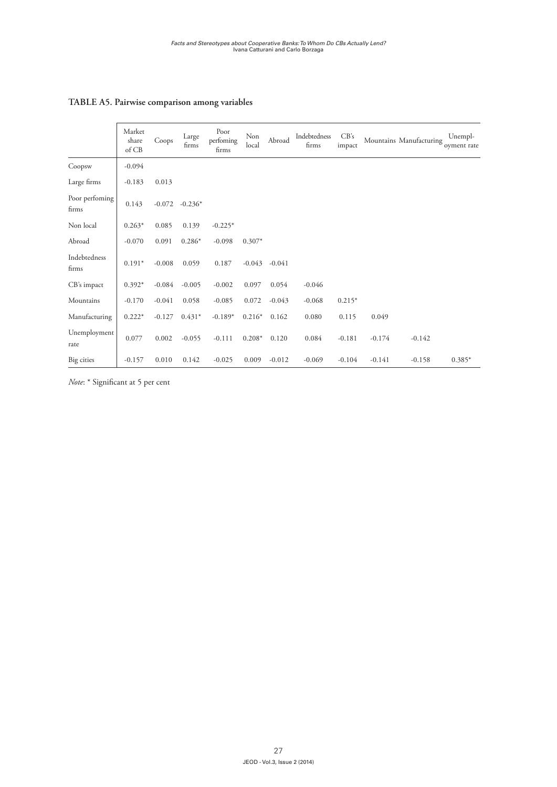# **Table A5. Pairwise comparison among variables**

|                         | Market<br>share<br>of CB | Coops    | Large<br>firms | Poor<br>perfoming<br>firms | Non<br>local | Abroad   | Indebtedness<br>firms | CB's<br>impact |          | Mountains Manufacturing oyment rate | Unempl-  |
|-------------------------|--------------------------|----------|----------------|----------------------------|--------------|----------|-----------------------|----------------|----------|-------------------------------------|----------|
| Coopsw                  | $-0.094$                 |          |                |                            |              |          |                       |                |          |                                     |          |
| Large firms             | $-0.183$                 | 0.013    |                |                            |              |          |                       |                |          |                                     |          |
| Poor perfoming<br>firms | 0.143                    | $-0.072$ | $-0.236*$      |                            |              |          |                       |                |          |                                     |          |
| Non local               | $0.263*$                 | 0.085    | 0.139          | $-0.225*$                  |              |          |                       |                |          |                                     |          |
| Abroad                  | $-0.070$                 | 0.091    | $0.286*$       | $-0.098$                   | $0.307*$     |          |                       |                |          |                                     |          |
| Indebtedness<br>firms   | $0.191*$                 | $-0.008$ | 0.059          | 0.187                      | $-0.043$     | $-0.041$ |                       |                |          |                                     |          |
| CB's impact             | $0.392*$                 | $-0.084$ | $-0.005$       | $-0.002$                   | 0.097        | 0.054    | $-0.046$              |                |          |                                     |          |
| Mountains               | $-0.170$                 | $-0.041$ | 0.058          | $-0.085$                   | 0.072        | $-0.043$ | $-0.068$              | $0.215*$       |          |                                     |          |
| Manufacturing           | $0.222*$                 | $-0.127$ | $0.431*$       | $-0.189*$                  | $0.216*$     | 0.162    | 0.080                 | 0.115          | 0.049    |                                     |          |
| Unemployment<br>rate    | 0.077                    | 0.002    | $-0.055$       | $-0.111$                   | $0.208*$     | 0.120    | 0.084                 | $-0.181$       | $-0.174$ | $-0.142$                            |          |
| Big cities              | $-0.157$                 | 0.010    | 0.142          | $-0.025$                   | 0.009        | $-0.012$ | $-0.069$              | $-0.104$       | $-0.141$ | $-0.158$                            | $0.385*$ |

*Note*: \* Significant at 5 per cent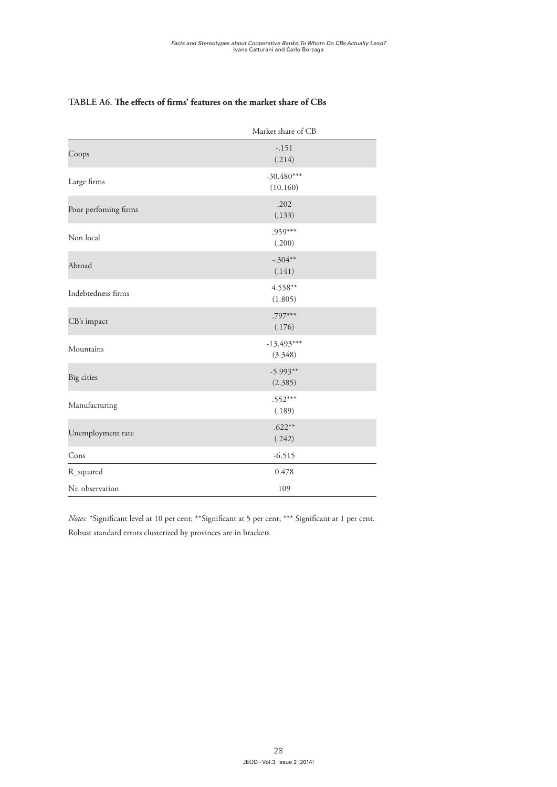|                      | Market share of CB       |
|----------------------|--------------------------|
| Coops                | $-.151$<br>(.214)        |
| Large firms          | $-30.480***$<br>(10.160) |
| Poor perfoming firms | .202<br>(.133)           |
| Non local            | $.959***$<br>(.200)      |
| Abroad               | $-.304**$<br>(.141)      |
| Indebtedness firms   | $4.558**$<br>(1.805)     |
| CB's impact          | $.797***$<br>(.176)      |
| Mountains            | $-13.493***$<br>(3.348)  |
| Big cities           | $-5.993**$<br>(2.385)    |
| Manufacturing        | $.552***$<br>(.189)      |
| Unemployment rate    | $.622**$<br>(.242)       |
| Cons                 | $-6.515$                 |
| R_squared            | 0.478                    |
| Nr. observation      | 109                      |

#### **Table A6. The effects of firms' features on the market share of CBs**

*Notes:* \*Significant level at 10 per cent; \*\*Significant at 5 per cent; \*\*\* Significant at 1 per cent. Robust standard errors clusterized by provinces are in brackets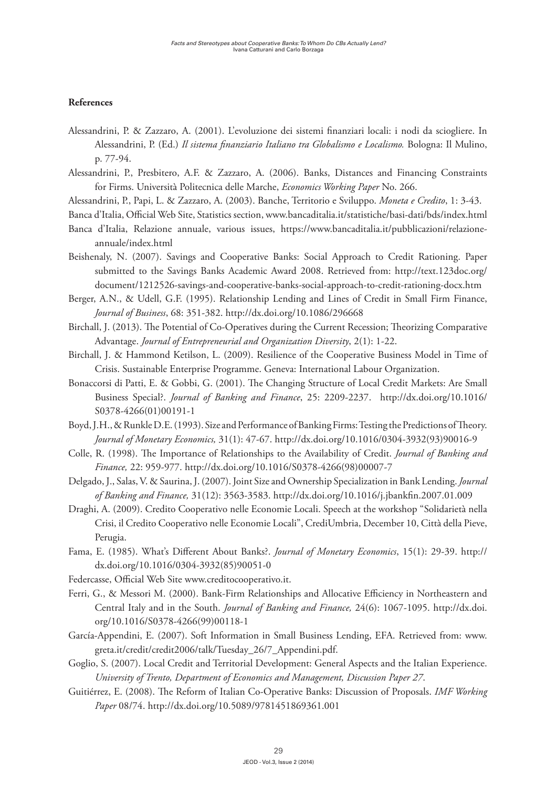#### **References**

- Alessandrini, P. & Zazzaro, A. (2001). L'evoluzione dei sistemi finanziari locali: i nodi da sciogliere. In Alessandrini, P. (Ed.) *Il sistema finanziario Italiano tra Globalismo e Localismo.* Bologna: Il Mulino, p. 77-94.
- Alessandrini, P., Presbitero, A.F. & Zazzaro, A. (2006). Banks, Distances and Financing Constraints for Firms. Università Politecnica delle Marche, *Economics Working Paper* No. 266.
- Alessandrini, P., Papi, L. & Zazzaro, A. (2003). Banche, Territorio e Sviluppo. *Moneta e Credito*, 1: 3-43.

Banca d'Italia, Official Web Site, Statistics section, www.bancaditalia.it/statistiche/basi-dati/bds/index.html

- Banca d'Italia, Relazione annuale, various issues, https://www.bancaditalia.it/pubblicazioni/relazioneannuale/index.html
- Beishenaly, N. (2007). Savings and Cooperative Banks: Social Approach to Credit Rationing. Paper submitted to the Savings Banks Academic Award 2008. Retrieved from: http://text.123doc.org/ document/1212526-savings-and-cooperative-banks-social-approach-to-credit-rationing-docx.htm

Berger, A.N., & Udell, G.F. (1995). Relationship Lending and Lines of Credit in Small Firm Finance, *Journal of Business*, 68: 351-382. http://dx.doi.org/10.1086/296668

- Birchall, J. (2013). The Potential of Co-Operatives during the Current Recession; Theorizing Comparative Advantage. *Journal of Entrepreneurial and Organization Diversity*, 2(1): 1-22.
- Birchall, J. & Hammond Ketilson, L. (2009). Resilience of the Cooperative Business Model in Time of Crisis. Sustainable Enterprise Programme. Geneva: International Labour Organization.
- Bonaccorsi di Patti, E. & Gobbi, G. (2001). The Changing Structure of Local Credit Markets: Are Small Business Special?. *Journal of Banking and Finance*, 25: 2209-2237. http://dx.doi.org/10.1016/ S0378-4266(01)00191-1
- Boyd, J.H., & Runkle D.E. (1993). Size and Performance of Banking Firms: Testing the Predictions of Theory. *Journal of Monetary Economics,* 31(1): 47-67. http://dx.doi.org/10.1016/0304-3932(93)90016-9
- Colle, R. (1998). The Importance of Relationships to the Availability of Credit. *Journal of Banking and Finance,* 22: 959-977. http://dx.doi.org/10.1016/S0378-4266(98)00007-7
- Delgado, J., Salas, V. & Saurina, J. (2007). Joint Size and Ownership Specialization in Bank Lending. *Journal of Banking and Finance,* 31(12): 3563-3583. http://dx.doi.org/10.1016/j.jbankfin.2007.01.009
- Draghi, A. (2009). Credito Cooperativo nelle Economie Locali. Speech at the workshop "Solidarietà nella Crisi, il Credito Cooperativo nelle Economie Locali", CrediUmbria, December 10, Città della Pieve, Perugia.
- Fama, E. (1985). What's Different About Banks?. *Journal of Monetary Economics*, 15(1): 29-39. http:// dx.doi.org/10.1016/0304-3932(85)90051-0
- Federcasse, Official Web Site www.creditocooperativo.it.
- Ferri, G., & Messori M. (2000). Bank-Firm Relationships and Allocative Efficiency in Northeastern and Central Italy and in the South. *Journal of Banking and Finance,* 24(6): 1067-1095. http://dx.doi. org/10.1016/S0378-4266(99)00118-1
- García-Appendini, E. (2007). Soft Information in Small Business Lending, EFA. Retrieved from: www. greta.it/credit/credit2006/talk/Tuesday\_26/7\_Appendini.pdf.
- Goglio, S. (2007). Local Credit and Territorial Development: General Aspects and the Italian Experience. *University of Trento, Department of Economics and Management, Discussion Paper 27*.
- Guitiérrez, E. (2008). The Reform of Italian Co-Operative Banks: Discussion of Proposals. *IMF Working Paper* 08/74. http://dx.doi.org/10.5089/9781451869361.001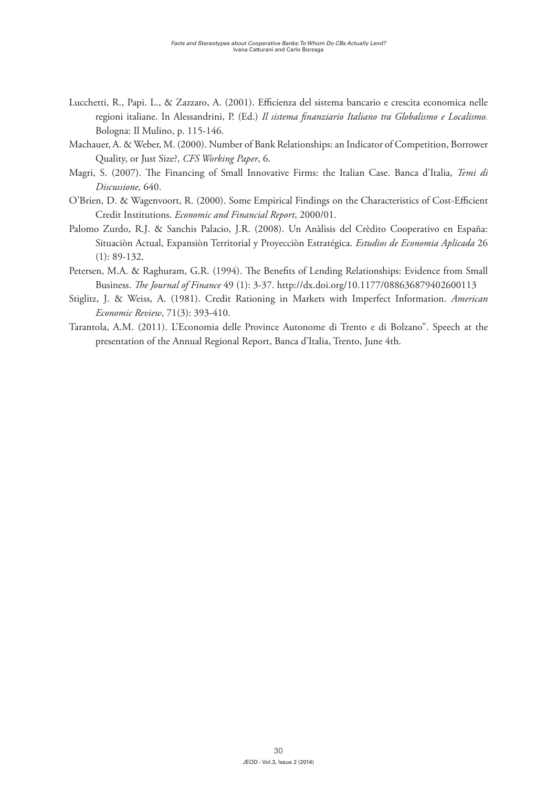- Lucchetti, R., Papi. L., & Zazzaro, A. (2001). Efficienza del sistema bancario e crescita economica nelle regioni italiane. In Alessandrini, P. (Ed.) *Il sistema finanziario Italiano tra Globalismo e Localismo.*  Bologna: Il Mulino, p. 115-146.
- Machauer, A. & Weber, M. (2000). Number of Bank Relationships: an Indicator of Competition, Borrower Quality, or Just Size?, *CFS Working Paper*, 6.
- Magri, S. (2007). The Financing of Small Innovative Firms: the Italian Case. Banca d'Italia, *Temi di Discussione,* 640.
- O'Brien, D. & Wagenvoort, R. (2000). Some Empirical Findings on the Characteristics of Cost-Efficient Credit Institutions. *Economic and Financial Report*, 2000/01.
- Palomo Zurdo, R.J. & Sanchis Palacio, J.R. (2008). Un Anàlisis del Crèdito Cooperativo en España: Situaciòn Actual, Expansiòn Territorial y Proyecciòn Estratégica. *Estudios de Economia Aplicada* 26 (1): 89-132.
- Petersen, M.A. & Raghuram, G.R. (1994). The Benefits of Lending Relationships: Evidence from Small Business. *The Journal of Finance* 49 (1): 3-37. http://dx.doi.org/10.1177/088636879402600113
- Stiglitz, J. & Weiss, A. (1981). Credit Rationing in Markets with Imperfect Information. *American Economic Review*, 71(3): 393-410.
- Tarantola, A.M. (2011). L'Economia delle Province Autonome di Trento e di Bolzano". Speech at the presentation of the Annual Regional Report, Banca d'Italia, Trento, June 4th.